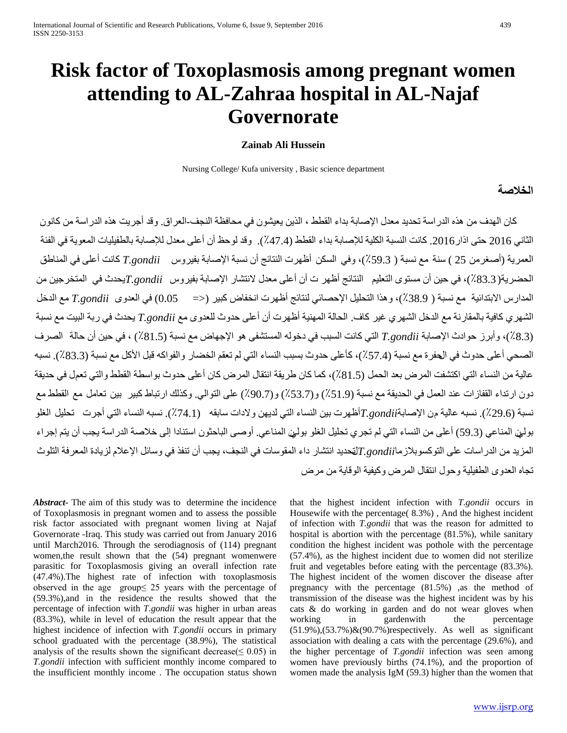# **Risk factor of Toxoplasmosis among pregnant women attending to AL-Zahraa hospital in AL-Najaf Governorate**

# **Zainab Ali Hussein**

Nursing College/ Kufa university , Basic science department

# **الخلاصة**

 كان الهدف من هذه الدراسة تحديد معدل الإصابة بداء القطط ، الذين يعيشون في محافظة النجف-العراق. وقد أجريت هذه الدراسة من كانون الثاني 2016 حتى اذار.2016 كانت النسبة الكلية للإصابة بداء القطط (٪47.4). وقد لوحظ أن أعلى معدل للإصابة بالطفيليات المعوية في الفئة العمرية (أصغرمن 25 ) سنة مع نسبة ( ٪59.3)، وفي السكن أظهرت النتائج أن نسبة الإصابة بفيروس *gondii.T* كانت أعلى في المناطق الحضرية(٪83.3)، في حين أن مستوى التعليم النتائج أظهر ت أن أعلى معدل لانتشار الإصابة بفيروس *gondii.T*يحدث في المتخرجين من المدارس الابتدائية مع نسبة ( ٪38.9)، وهذا التحليل الإحصائي لنتائج أظهرت انخفاض كبير (<= 0.05) في العدوى *gondii.T* مع الدخل الشهري كافية بالمقارنة مع الدخل الشهري غير كاف. الحالة المهنية أظهرت أن أعلى حدوث للعدوى مع *gondii.T* يحدث في ربة البيت مع نسبة (٪8.3)، وأبرز حوادث الإصابة *gondii.T* التي كانت السبب في دخوله المستشفى هو الإجهاض مع نسبة (٪81.5) ، في حين أن حالة الصرف الصحي أعلى حدوث في الحفرة مع نسبة (٪57.4)، كأعلى حدوث بسبب النساء التي لم تعقم الخضار والفواكه قبل الأكل مع نسبة (٪83.3). نسبه عالية من النساء التي اكتشفت المرض بعد الحمل (٪81.5)، كما كان طريقة انتقال المرض كان أعلى حدوث بواسطة القطط والتي تعمل في حديقة دون ارتداء القفازات عند العمل في الحديقة مع نسبة (٪51.9) و(٪53.7) و(٪90.7) على التوالي. وكذلك ارتباط كبير بين تعامل مع القطط مع نسبة (٪29.6). نسبه عالية من الإصابة*gondii.T*أظهرت بين النساء التي لديهن ولادات سابقه (٪74.1). نسبه النساء التي أجرت تحليل الغلو بولين المناعي (59.3) أعلى من النساء التي لم تجري تحليل الغلو بولين المناعي. أوصى الباحثون استنادا إلى خلاصة الدراسة يجب أن يتم إجراء المزيد من الدراسات على التوكسوبلازما*gondii.T*لتحديد انتشار داء المقوسات في النجف، يجب أن تنفذ في وسائل الإعلام لزيادة المعرفة التلوث تجاه العدوى الطفيلية وحول انتقال المرض وكيفية الوقاية من مرض

*Abstract***-** The aim of this study was to determine the incidence of Toxoplasmosis in pregnant women and to assess the possible risk factor associated with pregnant women living at Najaf Governorate -Iraq. This study was carried out from January 2016 until March2016. Through the serodiagnosis of (114) pregnant women,the result shown that the (54) pregnant womenwere parasitic for Toxoplasmosis giving an overall infection rate (47.4%).The highest rate of infection with toxoplasmosis observed in the age group≤ 25 years with the percentage of (59.3%),and in the residence the results showed that the percentage of infection with *T.gondii* was higher in urban areas (83.3%), while in level of education the result appear that the highest incidence of infection with *T.gondii* occurs in primary school graduated with the percentage (38.9%), The statistical analysis of the results shown the significant decrease( $\leq 0.05$ ) in *T.gondii* infection with sufficient monthly income compared to the insufficient monthly income . The occupation status shown that the highest incident infection with *T.gondii* occurs in Housewife with the percentage( 8.3%) , And the highest incident of infection with *T.gondii* that was the reason for admitted to hospital is abortion with the percentage (81.5%), while sanitary condition the highest incident was pothole with the percentage (57.4%), as the highest incident due to women did not sterilize fruit and vegetables before eating with the percentage (83.3%). The highest incident of the women discover the disease after pregnancy with the percentage (81.5%) ,as the method of transmission of the disease was the highest incident was by his cats & do working in garden and do not wear gloves when working in gardenwith the percentage  $(51.9\%)$ , $(53.7\%)$ & $(90.7\%)$ respectively. As well as significant association with dealing a cats with the percentage (29.6%), and the higher percentage of *T.gondii* infection was seen among women have previously births (74.1%), and the proportion of women made the analysis IgM (59.3) higher than the women that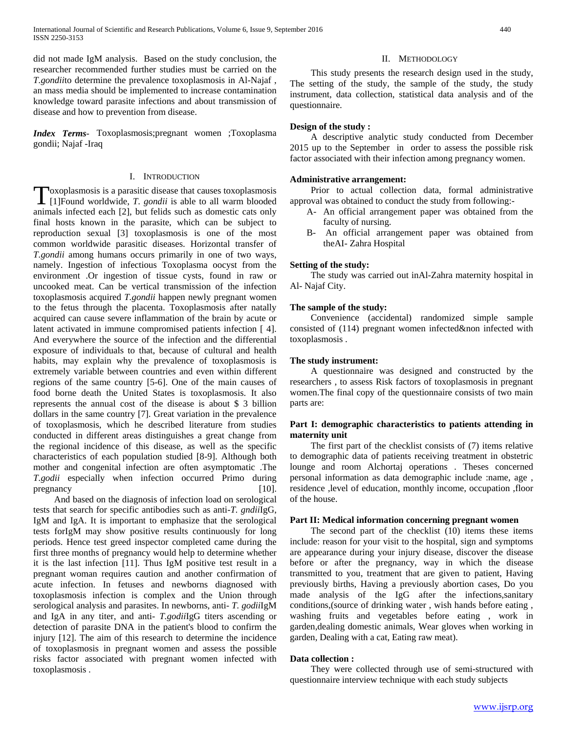did not made IgM analysis. Based on the study conclusion, the researcher recommended further studies must be carried on the *T.gondii*to determine the prevalence toxoplasmosis in Al-Najaf , an mass media should be implemented to increase contamination knowledge toward parasite infections and about transmission of disease and how to prevention from disease.

*Index Terms*- Toxoplasmosis;pregnant women ;Toxoplasma gondii; Najaf -Iraq

# I. INTRODUCTION

oxoplasmosis is a parasitic disease that causes toxoplasmosis Toxoplasmosis is a parasitic disease that causes toxoplasmosis<br>[1]Found worldwide, *T. gondii* is able to all warm blooded animals infected each [2], but felids such as domestic cats only final hosts known in the parasite, which can be subject to reproduction sexual [3] toxoplasmosis is one of the most common worldwide parasitic diseases. Horizontal transfer of *T.gondii* among humans occurs primarily in one of two ways, namely. Ingestion of infectious Toxoplasma oocyst from the environment .Or ingestion of tissue cysts, found in raw or uncooked meat. Can be vertical transmission of the infection toxoplasmosis acquired *T.gondii* happen newly pregnant women to the fetus through the placenta. Toxoplasmosis after natally acquired can cause severe inflammation of the brain by acute or latent activated in immune compromised patients infection [ 4]. And everywhere the source of the infection and the differential exposure of individuals to that, because of cultural and health habits, may explain why the prevalence of toxoplasmosis is extremely variable between countries and even within different regions of the same country [5-6]. One of the main causes of food borne death the United States is toxoplasmosis. It also represents the annual cost of the disease is about \$ 3 billion dollars in the same country [7]. Great variation in the prevalence of toxoplasmosis, which he described literature from studies conducted in different areas distinguishes a great change from the regional incidence of this disease, as well as the specific characteristics of each population studied [8-9]. Although both mother and congenital infection are often asymptomatic .The *T.godii* especially when infection occurred Primo during pregnancy [10].

 And based on the diagnosis of infection load on serological tests that search for specific antibodies such as anti-*T. gndii*IgG, IgM and IgA. It is important to emphasize that the serological tests forIgM may show positive results continuously for long periods. Hence test greed inspector completed came during the first three months of pregnancy would help to determine whether it is the last infection [11]. Thus IgM positive test result in a pregnant woman requires caution and another confirmation of acute infection. In fetuses and newborns diagnosed with toxoplasmosis infection is complex and the Union through serological analysis and parasites. In newborns, anti- *T. godii*IgM and IgA in any titer, and anti- *T.godii*IgG titers ascending or detection of parasite DNA in the patient's blood to confirm the injury [12]. The aim of this research to determine the incidence of toxoplasmosis in pregnant women and assess the possible risks factor associated with pregnant women infected with toxoplasmosis .

#### II. METHODOLOGY

 This study presents the research design used in the study, The setting of the study, the sample of the study, the study instrument, data collection, statistical data analysis and of the questionnaire.

# **Design of the study :**

 A descriptive analytic study conducted from December 2015 up to the September in order to assess the possible risk factor associated with their infection among pregnancy women.

#### **Administrative arrangement:**

 Prior to actual collection data, formal administrative approval was obtained to conduct the study from following:-

- A- An official arrangement paper was obtained from the faculty of nursing.
- B- An official arrangement paper was obtained from theAI- Zahra Hospital

# **Setting of the study:**

 The study was carried out inAl-Zahra maternity hospital in Al- Najaf City.

### **The sample of the study:**

 Convenience (accidental) randomized simple sample consisted of (114) pregnant women infected&non infected with toxoplasmosis .

### **The study instrument:**

 A questionnaire was designed and constructed by the researchers , to assess Risk factors of toxoplasmosis in pregnant women.The final copy of the questionnaire consists of two main parts are:

# **Part I: demographic characteristics to patients attending in maternity unit**

 The first part of the checklist consists of (7) items relative to demographic data of patients receiving treatment in obstetric lounge and room Alchortaj operations . Theses concerned personal information as data demographic include :name, age , residence ,level of education, monthly income, occupation ,floor of the house.

### **Part II: Medical information concerning pregnant women**

 The second part of the checklist (10) items these items include: reason for your visit to the hospital, sign and symptoms are appearance during your injury disease, discover the disease before or after the pregnancy, way in which the disease transmitted to you, treatment that are given to patient, Having previously births, Having a previously abortion cases, Do you made analysis of the IgG after the infections,sanitary conditions,(source of drinking water , wish hands before eating , washing fruits and vegetables before eating , work in garden,dealing domestic animals, Wear gloves when working in garden, Dealing with a cat, Eating raw meat).

#### **Data collection :**

 They were collected through use of semi-structured with questionnaire interview technique with each study subjects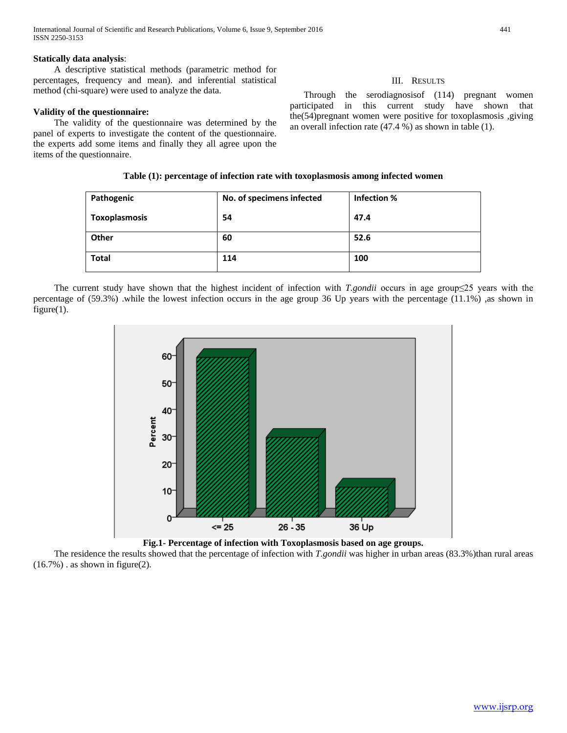# **Statically data analysis**:

 A descriptive statistical methods (parametric method for percentages, frequency and mean). and inferential statistical method (chi-square) were used to analyze the data.

# **Validity of the questionnaire:**

 The validity of the questionnaire was determined by the panel of experts to investigate the content of the questionnaire. the experts add some items and finally they all agree upon the items of the questionnaire.

# **Table (1): percentage of infection rate with toxoplasmosis among infected women**

| Pathogenic    | No. of specimens infected | Infection % |
|---------------|---------------------------|-------------|
| Toxoplasmosis | 54                        | 47.4        |
| Other         | 60                        | 52.6        |
| <b>Total</b>  | 114                       | 100         |

 The current study have shown that the highest incident of infection with *T.gondii* occurs in age group≤25 years with the percentage of (59.3%) .while the lowest infection occurs in the age group 36 Up years with the percentage (11.1%) ,as shown in figure $(1)$ .



**Fig.1- Percentage of infection with Toxoplasmosis based on age groups.**

The residence the results showed that the percentage of infection with *T.gondii* was higher in urban areas (83.3%)than rural areas  $(16.7\%)$ . as shown in figure(2).

# III. RESULTS

 Through the serodiagnosisof (114) pregnant women participated in this current study have shown that the(54)pregnant women were positive for toxoplasmosis ,giving an overall infection rate (47.4 %) as shown in table (1).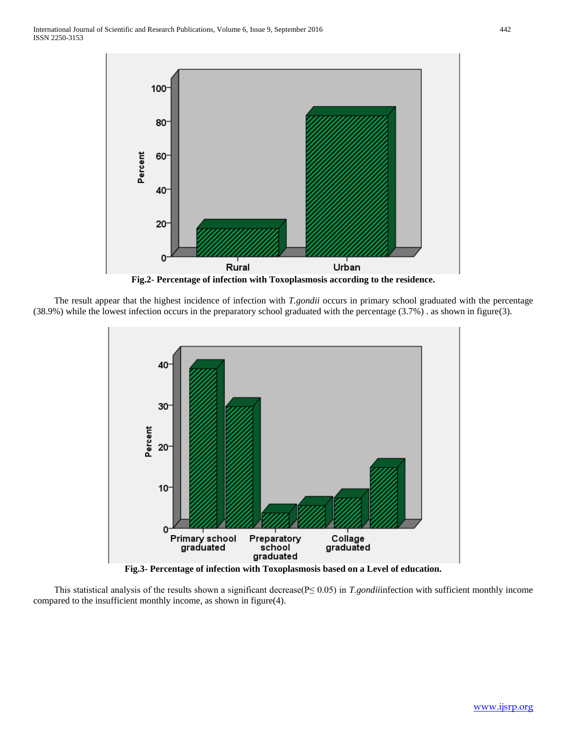

 The result appear that the highest incidence of infection with *T.gondii* occurs in primary school graduated with the percentage (38.9%) while the lowest infection occurs in the preparatory school graduated with the percentage (3.7%) . as shown in figure(3).



**Fig.3- Percentage of infection with Toxoplasmosis based on a Level of education.**

 This statistical analysis of the results shown a significant decrease(P≤ 0.05) in *T.gondii*infection with sufficient monthly income compared to the insufficient monthly income, as shown in figure(4).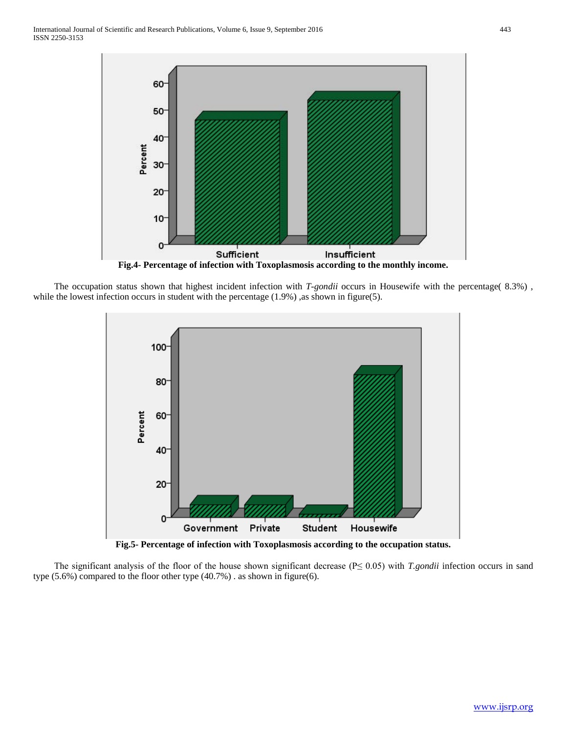

 The occupation status shown that highest incident infection with *T-gondii* occurs in Housewife with the percentage( 8.3%) , while the lowest infection occurs in student with the percentage  $(1.9\%)$ , as shown in figure(5).



**Fig.5- Percentage of infection with Toxoplasmosis according to the occupation status.**

 The significant analysis of the floor of the house shown significant decrease (P≤ 0.05) with *T.gondii* infection occurs in sand type (5.6%) compared to the floor other type (40.7%) . as shown in figure(6).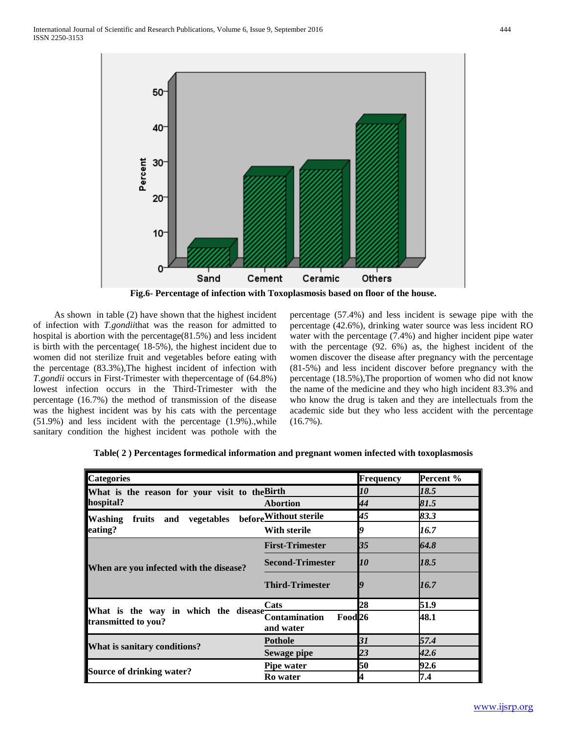

**Fig.6- Percentage of infection with Toxoplasmosis based on floor of the house.**

 As shown in table (2) have shown that the highest incident of infection with *T.gondii*that was the reason for admitted to hospital is abortion with the percentage(81.5%) and less incident is birth with the percentage( 18-5%), the highest incident due to women did not sterilize fruit and vegetables before eating with the percentage (83.3%),The highest incident of infection with *T.gondii* occurs in First-Trimester with thepercentage of (64.8%) lowest infection occurs in the Third-Trimester with the percentage (16.7%) the method of transmission of the disease was the highest incident was by his cats with the percentage (51.9%) and less incident with the percentage (1.9%).,while sanitary condition the highest incident was pothole with the

percentage (57.4%) and less incident is sewage pipe with the percentage (42.6%), drinking water source was less incident RO water with the percentage (7.4%) and higher incident pipe water with the percentage (92. 6%) as, the highest incident of the women discover the disease after pregnancy with the percentage (81-5%) and less incident discover before pregnancy with the percentage (18.5%),The proportion of women who did not know the name of the medicine and they who high incident 83.3% and who know the drug is taken and they are intellectuals from the academic side but they who less accident with the percentage (16.7%).

| <b>Categories</b>                                                |                                                         | <b>Frequency</b>   | Percent % |
|------------------------------------------------------------------|---------------------------------------------------------|--------------------|-----------|
| What is the reason for your visit to the Birth                   |                                                         | 10                 | 18.5      |
| hospital?                                                        | <b>Abortion</b>                                         | 44                 | 81.5      |
| vegetables beforeWithout sterile<br><b>Washing</b><br>fruits and |                                                         | 45                 | 83.3      |
| eating?                                                          | With sterile                                            | g                  | 16.7      |
|                                                                  | <b>First-Trimester</b>                                  | $\mathbf{R}$       | 64.8      |
| When are you infected with the disease?                          | <b>Second-Trimester</b>                                 | $\bm{\mathit{10}}$ | 18.5      |
|                                                                  | <b>Third-Trimester</b>                                  |                    | 16.7      |
|                                                                  | Cats                                                    | 28                 | 51.9      |
| What is the way in which the disease<br>transmitted to you?      | <b>Contamination</b><br>Food <sub>26</sub><br>and water |                    | 48.1      |
|                                                                  | <b>Pothole</b>                                          | 31                 | 57.4      |
| What is sanitary conditions?                                     | Sewage pipe                                             | 23                 | 42.6      |
|                                                                  | <b>Pipe water</b>                                       | 50                 | 92.6      |
| Source of drinking water?                                        | <b>Ro</b> water                                         | 4                  | 7.4       |

**Table( 2 ) Percentages formedical information and pregnant women infected with toxoplasmosis**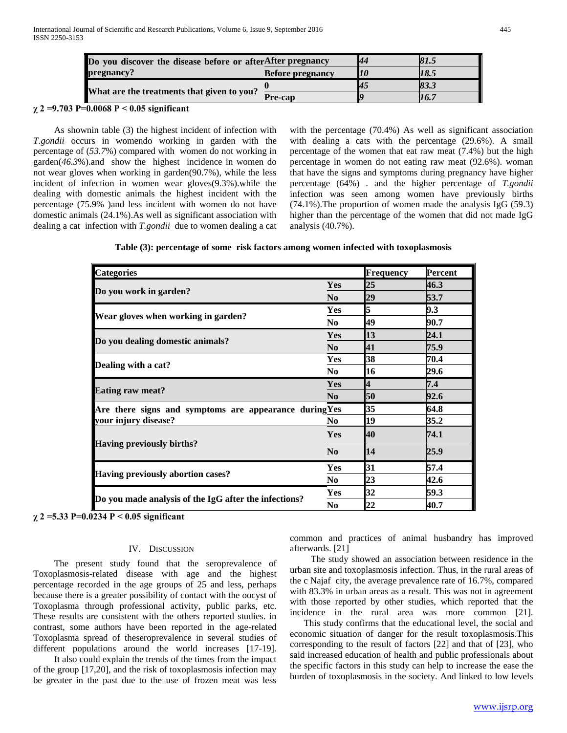| Do you discover the disease before or afterAfter pregnancy |                         |           | 81.5 |
|------------------------------------------------------------|-------------------------|-----------|------|
| pregnancy?                                                 | <b>Before pregnancy</b> |           | 18.5 |
| What are the treatments that given to you?                 |                         | <u>и.</u> | 83.3 |
|                                                            | Pre-cap                 |           | 16.7 |

#### **χ 2 =9.703 P=0.0068 P < 0.05 significant**

 As shownin table (3) the highest incident of infection with *T.gondii* occurs in womendo working in garden with the percentage of (*53.7*%) compared with women do not working in garden(*46.3*%).and show the highest incidence in women do not wear gloves when working in garden(90.7%), while the less incident of infection in women wear gloves(9.3%).while the dealing with domestic animals the highest incident with the percentage (75.9% )and less incident with women do not have domestic animals (24.1%).As well as significant association with dealing a cat infection with *T.gondii* due to women dealing a cat

with the percentage (70.4%) As well as significant association with dealing a cats with the percentage (29.6%). A small percentage of the women that eat raw meat (7.4%) but the high percentage in women do not eating raw meat (92.6%). woman that have the signs and symptoms during pregnancy have higher percentage (64%) . and the higher percentage of *T.gondii* infection was seen among women have previously births (74.1%).The proportion of women made the analysis IgG (59.3) higher than the percentage of the women that did not made IgG analysis (40.7%).

| <b>Categories</b>                                      |                | <b>Frequency</b> | <b>Percent</b> |
|--------------------------------------------------------|----------------|------------------|----------------|
|                                                        | Yes            | 25               | 46.3           |
| Do you work in garden?                                 | N <sub>0</sub> | 29               | 53.7           |
|                                                        | Yes            | 5                | 9.3            |
| Wear gloves when working in garden?                    | N <sub>0</sub> | 49               | 90.7           |
|                                                        | Yes            | <b>13</b>        | 24.1           |
| Do you dealing domestic animals?                       | N <sub>0</sub> | 41               | 75.9           |
|                                                        | Yes            | 38               | 70.4           |
| Dealing with a cat?                                    | N <sub>0</sub> | 16               | 29.6           |
|                                                        | Yes            | 4                | 7.4            |
| <b>Eating raw meat?</b>                                | N <sub>0</sub> | 50               | 92.6           |
| Are there signs and symptoms are appearance during Yes |                | 35               | 64.8           |
| your injury disease?                                   | N <sub>0</sub> | 19               | 35.2           |
|                                                        | Yes            | <b>40</b>        | 74.1           |
| <b>Having previously births?</b>                       | N <sub>0</sub> | 14               | 25.9           |
|                                                        | Yes            | 31               | 57.4           |
| <b>Having previously abortion cases?</b>               | N <sub>0</sub> | 23               | 42.6           |
|                                                        | Yes            | 32               | 59.3           |
| Do you made analysis of the IgG after the infections?  | No             | 22               | 40.7           |

**χ 2 =5.33 P=0.0234 P < 0.05 significant** 

#### IV. DISCUSSION

 The present study found that the seroprevalence of Toxoplasmosis-related disease with age and the highest percentage recorded in the age groups of 25 and less, perhaps because there is a greater possibility of contact with the oocyst of Toxoplasma through professional activity, public parks, etc. These results are consistent with the others reported studies. in contrast, some authors have been reported in the age-related Toxoplasma spread of theseroprevalence in several studies of different populations around the world increases [17-19].

 It also could explain the trends of the times from the impact of the group [17,20], and the risk of toxoplasmosis infection may be greater in the past due to the use of frozen meat was less common and practices of animal husbandry has improved afterwards. [21]

 The study showed an association between residence in the urban site and toxoplasmosis infection. Thus, in the rural areas of the c Najaf city, the average prevalence rate of 16.7%, compared with 83.3% in urban areas as a result. This was not in agreement with those reported by other studies, which reported that the incidence in the rural area was more common [21].

 This study confirms that the educational level, the social and economic situation of danger for the result toxoplasmosis.This corresponding to the result of factors [22] and that of [23], who said increased education of health and public professionals about the specific factors in this study can help to increase the ease the burden of toxoplasmosis in the society. And linked to low levels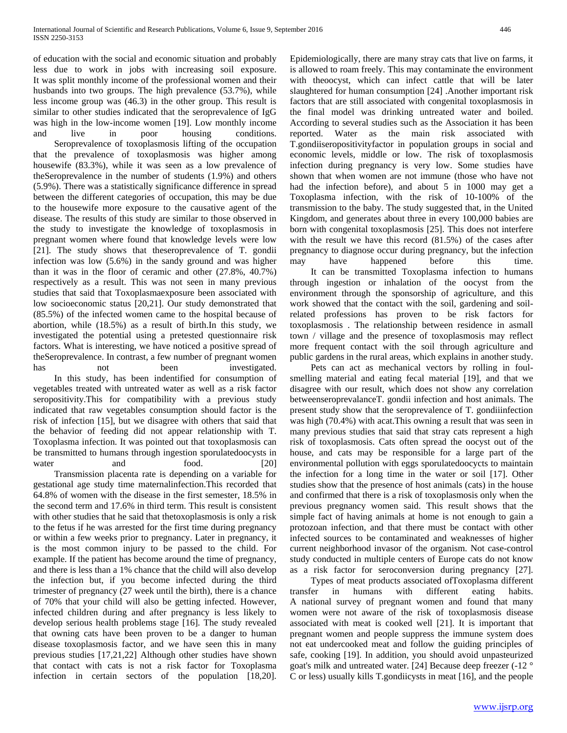of education with the social and economic situation and probably less due to work in jobs with increasing soil exposure. It was split monthly income of the professional women and their husbands into two groups. The high prevalence (53.7%), while less income group was (46.3) in the other group. This result is similar to other studies indicated that the seroprevalence of IgG was high in the low-income women [19]. Low monthly income and live in poor housing conditions.

 Seroprevalence of toxoplasmosis lifting of the occupation that the prevalence of toxoplasmosis was higher among housewife (83.3%), while it was seen as a low prevalence of theSeroprevalence in the number of students (1.9%) and others (5.9%). There was a statistically significance difference in spread between the different categories of occupation, this may be due to the housewife more exposure to the causative agent of the disease. The results of this study are similar to those observed in the study to investigate the knowledge of toxoplasmosis in pregnant women where found that knowledge levels were low [21]. The study shows that theseroprevalence of T. gondii infection was low (5.6%) in the sandy ground and was higher than it was in the floor of ceramic and other (27.8%, 40.7%) respectively as a result. This was not seen in many previous studies that said that Toxoplasmaexposure been associated with low socioeconomic status [20,21]. Our study demonstrated that (85.5%) of the infected women came to the hospital because of abortion, while (18.5%) as a result of birth.In this study, we investigated the potential using a pretested questionnaire risk factors. What is interesting, we have noticed a positive spread of theSeroprevalence. In contrast, a few number of pregnant women has not been investigated. In this study, has been indentified for consumption of vegetables treated with untreated water as well as a risk factor seropositivity.This for compatibility with a previous study indicated that raw vegetables consumption should factor is the risk of infection [15], but we disagree with others that said that the behavior of feeding did not appear relationship with T. Toxoplasma infection. It was pointed out that toxoplasmosis can be transmitted to humans through ingestion sporulatedoocysts in

water and food. [20] Transmission placenta rate is depending on a variable for gestational age study time maternalinfection.This recorded that 64.8% of women with the disease in the first semester, 18.5% in the second term and 17.6% in third term. This result is consistent with other studies that he said that thetoxoplasmosis is only a risk to the fetus if he was arrested for the first time during pregnancy or within a few weeks prior to pregnancy. Later in pregnancy, it is the most common injury to be passed to the child. For example. If the patient has become around the time of pregnancy, and there is less than a 1% chance that the child will also develop the infection but, if you become infected during the third trimester of pregnancy (27 week until the birth), there is a chance of 70% that your child will also be getting infected. However, infected children during and after pregnancy is less likely to develop serious health problems stage [16]. The study revealed that owning cats have been proven to be a danger to human disease toxoplasmosis factor, and we have seen this in many previous studies [17,21,22] Although other studies have shown that contact with cats is not a risk factor for Toxoplasma infection in certain sectors of the population [18,20].

Epidemiologically, there are many stray cats that live on farms, it is allowed to roam freely. This may contaminate the environment with theoocyst, which can infect cattle that will be later slaughtered for human consumption [24] .Another important risk factors that are still associated with congenital toxoplasmosis in the final model was drinking untreated water and boiled. According to several studies such as the Association it has been reported. Water as the main risk associated with T.gondiiseropositivityfactor in population groups in social and economic levels, middle or low. The risk of toxoplasmosis infection during pregnancy is very low. Some studies have shown that when women are not immune (those who have not had the infection before), and about 5 in 1000 may get a Toxoplasma infection, with the risk of 10-100% of the transmission to the baby. The study suggested that, in the United Kingdom, and generates about three in every 100,000 babies are born with congenital toxoplasmosis [25]. This does not interfere with the result we have this record (81.5%) of the cases after pregnancy to diagnose occur during pregnancy, but the infection may have happened before this time.

 It can be transmitted Toxoplasma infection to humans through ingestion or inhalation of the oocyst from the environment through the sponsorship of agriculture, and this work showed that the contact with the soil, gardening and soilrelated professions has proven to be risk factors for toxoplasmosis . The relationship between residence in asmall town / village and the presence of toxoplasmosis may reflect more frequent contact with the soil through agriculture and public gardens in the rural areas, which explains in another study.

 Pets can act as mechanical vectors by rolling in foulsmelling material and eating fecal material [19], and that we disagree with our result, which does not show any correlation betweenseroprevalanceT. gondii infection and host animals. The present study show that the seroprevalence of T. gondiiinfection was high (70.4%) with acat.This owning a result that was seen in many previous studies that said that stray cats represent a high risk of toxoplasmosis. Cats often spread the oocyst out of the house, and cats may be responsible for a large part of the environmental pollution with eggs sporulatedoocycts to maintain the infection for a long time in the water or soil [17]. Other studies show that the presence of host animals (cats) in the house and confirmed that there is a risk of toxoplasmosis only when the previous pregnancy women said. This result shows that the simple fact of having animals at home is not enough to gain a protozoan infection, and that there must be contact with other infected sources to be contaminated and weaknesses of higher current neighborhood invasor of the organism. Not case-control study conducted in multiple centers of Europe cats do not know as a risk factor for seroconversion during pregnancy [27].

 Types of meat products associated ofToxoplasma different transfer in humans with different eating habits. A national survey of pregnant women and found that many women were not aware of the risk of toxoplasmosis disease associated with meat is cooked well [21]. It is important that pregnant women and people suppress the immune system does not eat undercooked meat and follow the guiding principles of safe, cooking [19]. In addition, you should avoid unpasteurized goat's milk and untreated water. [24] Because deep freezer (-12 ° C or less) usually kills T.gondiicysts in meat [16], and the people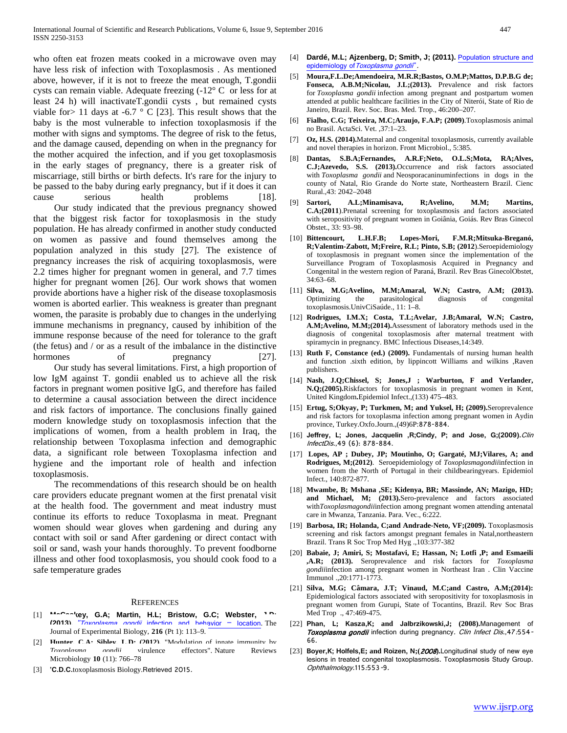who often eat frozen meats cooked in a microwave oven may have less risk of infection with Toxoplasmosis . As mentioned above, however, if it is not to freeze the meat enough, T.gondii cysts can remain viable. Adequate freezing (-12° C or less for at least 24 h) will inactivateT.gondii cysts , but remained cysts viable for  $> 11$  days at  $-6.7 \degree$  C [23]. This result shows that the baby is the most vulnerable to infection toxoplasmosis if the mother with signs and symptoms. The degree of risk to the fetus, and the damage caused, depending on when in the pregnancy for the mother acquired the infection, and if you get toxoplasmosis in the early stages of pregnancy, there is a greater risk of miscarriage, still births or birth defects. It's rare for the injury to be passed to the baby during early pregnancy, but if it does it can cause serious health problems [18].

 Our study indicated that the previous pregnancy showed that the biggest risk factor for toxoplasmosis in the study population. He has already confirmed in another study conducted on women as passive and found themselves among the population analyzed in this study [27]. The existence of pregnancy increases the risk of acquiring toxoplasmosis, were 2.2 times higher for pregnant women in general, and 7.7 times higher for pregnant women [26]. Our work shows that women provide abortions have a higher risk of the disease toxoplasmosis women is aborted earlier. This weakness is greater than pregnant women, the parasite is probably due to changes in the underlying immune mechanisms in pregnancy, caused by inhibition of the immune response because of the need for tolerance to the graft (the fetus) and / or as a result of the imbalance in the distinctive hormones of pregnancy [27]. Our study has several limitations. First, a high proportion of

low IgM against T. gondii enabled us to achieve all the risk factors in pregnant women positive IgG, and therefore has failed to determine a causal association between the direct incidence and risk factors of importance. The conclusions finally gained modern knowledge study on toxoplasmosis infection that the implications of women, from a health problem in Iraq, the relationship between Toxoplasma infection and demographic data, a significant role between Toxoplasma infection and hygiene and the important role of health and infection toxoplasmosis.

 The recommendations of this research should be on health care providers educate pregnant women at the first prenatal visit at the health food. The government and meat industry must continue its efforts to reduce Toxoplasma in meat. Pregnant women should wear gloves when gardening and during any contact with soil or sand After gardening or direct contact with soil or sand, wash your hands thoroughly. To prevent foodborne illness and other food toxoplasmosis, you should cook food to a safe temperature grades

#### **REFERENCES**

- [1] **McCaskey, G.A; Martin, H.L; Bristow, G.C; Webster, 19043** *Toyonlasma gondii* infection and hebayior = location **(2013).** "Toxoplasma gondii [infection and behavior –](https://www.ncbi.nlm.nih.gov/pmc/articles/PMC3515035) location. The Journal of Experimental Biology, **216** (Pt 1): 113–9.
- [2] **Hunter, C.A. Sibley, L.D.** (2012). "Modulation of innate immunity by<br>
Toxonlasma **conditive propriate a** effectors." Nature Reviews effectors". Nature Reviews Microbiology **10** (11): 766–78
- $[3]$  **'C.D.C.***toxoplasmosis Biology.Retrieved 2015.*
- [4] **Dardé, M.L; Ajzenberg, D; Smith, J; (2011).** Population structure and epidemiology of [Toxoplasma gondii](https://books.google.com/books?id=yTUkJEphM_IC&pg=PA49&source=gbs_toc_r&cad=4)<sup>"</sup>.
- [5] **Moura,F.L.De;Amendoeira, M.R.R;Bastos, O.M.P;Mattos, D.P.B.G de; Fonseca, A.B.M;Nicolau, J.L;(2013).** Prevalence and risk factors for *Toxoplasma gondii* infection among pregnant and postpartum women attended at public healthcare facilities in the City of Niterói, State of Rio de Janeiro, Brazil. Rev. Soc. Bras. Med. Trop., 46:200–207.
- [6] **Fialho, C.G; Teixeira, M.C;Araujo, F.A.P; (2009)**.Toxoplasmosis animal no Brasil. ActaSci. Vet. ,37:1–23.
- [7] **Oz, H.S. (2014).**Maternal and congenital toxoplasmosis, currently available and novel therapies in horizon. Front Microbiol., 5:385.
- [8] **Dantas, S.B.A;Fernandes, A.R.F;Neto, O.L.S;Mota, RA;Alves, C.J;Azevedo, S.S. (2013).**Occurrence and risk factors associated with *Toxoplasma gondii* and Neosporacaninuminfections in dogs in the county of Natal, Rio Grande do Norte state, Northeastern Brazil. Cienc Rural.,43: 2042–2048
- [9] **Sartori, A.L;Minamisava, R;Avelino, M.M; Martins, C.A;(2011**).Prenatal screening for toxoplasmosis and factors associated with seropositivity of pregnant women in Goiânia, Goiás. Rev Bras Ginecol Obstet., 33: 93–98.
- [10] **Bittencourt, L.H.F.B; Lopes-Mori, F.M.R;Mitsuka-Breganó, R;Valentim-Zabott, M;Freire, R.L; Pinto, S.B; (2012**).Seroepidemiology of toxoplasmosis in pregnant women since the implementation of the Surveillance Program of Toxoplasmosis Acquired in Pregnancy and Congenital in the western region of Paraná, Brazil. Rev Bras GinecolObstet, 34:63–68.
- [11] **Silva, M.G;Avelino, M.M;Amaral, W.N; Castro, A.M; (2013).** Optimizing the parasitological diagnosis of congenital toxoplasmosis.UnivCiSaúde., 11: 1–8.
- [12] **Rodrigues, I.M.X; Costa, T.L;Avelar, J.B;Amaral, W.N; Castro, A.M;Avelino, M.M;(2014).**Assessment of laboratory methods used in the diagnosis of congenital toxoplasmosis after maternal treatment with spiramycin in pregnancy. BMC Infectious Diseases,14:349.
- [13] **Ruth F, Constance (ed.) (2009).** Fundamentals of nursing human health and function .sixth edition, by lippincott Williams and wilkins ,Raven publishers.
- [14] **Nash, J.Q;Chissel, S; Jones,J ; Warburton, F and Verlander, N.Q;(2005).**Riskfactors for toxoplasmosis in pregnant women in Kent, United Kingdom**.**Epidemiol Infect.,(133) 475–483.
- [15] **Ertug, S;Okyay, P; Turkmen, M; and Yuksel, H; (2009).**Seroprevalence and risk factors for toxoplasma infection among pregnant women in Aydin province, Turkey.Oxfo.Journ.,(49)6P:878-884.
- [16] *14T***[Jeffrey, L; Jones](http://cid.oxfordjournals.org/search?author1=Jeffrey+L.+Jones&sortspec=date&submit=Submit)***14T***,** *14T***[J](http://cid.oxfordjournals.org/search?author1=Jacquelin+Roberts&sortspec=date&submit=Submit)acquelin ,[R;Cindy, P](http://cid.oxfordjournals.org/search?author1=Jacquelin+Roberts&sortspec=date&submit=Submit)***14T***; and** *14T***[Jose, G;](http://cid.oxfordjournals.org/search?author1=Jose+G.+Montoya&sortspec=date&submit=Submit)***14T9***(2009)***14T9***[.](http://cid.oxfordjournals.org/search?author1=Jose+G.+Montoya&sortspec=date&submit=Submit)***14T2*Clin InfectDis.*12T0*,49 *17T20*(6):*17T8* 878-884.
- [17] **Lopes, AP ; Dubey, JP; Moutinho, O; Gargaté, MJ;Vilares, A; and Rodrigues, M;(2012)**. Seroepidemiology of *Toxoplasmagondii*infection in women from the North of Portugal in their childbearingyears. Epidemiol Infect., 140:872-877.
- [18] **Mwambe, B; Mshana ,SE; Kidenya, BR; Massinde, AN; Mazigo, HD; and Michael, M; (2013).**Sero-prevalence and factors associated with*Toxoplasmagondii*infection among pregnant women attending antenatal care in Mwanza, Tanzania. Para. Vec., 6:222.
- [19] **Barbosa, IR; Holanda, C;and Andrade-Neto, VF;(2009).** Toxoplasmosis screening and risk factors amongst pregnant females in Natal,northeastern Brazil. Trans R Soc Trop Med Hyg .,103:377-382
- [20] **Babaie, J; Amiri, S; Mostafavi, E; Hassan, N; Lotfi ,P; and Esmaeili ,A.R; (2013).** Seroprevalence and risk factors for *Toxoplasma gondii*infection among pregnant women in Northeast Iran . Clin Vaccine Immunol .,20:1771-1773.
- [21] **Silva, M.G; Câmara, J.T; Vinaud, M.C;and Castro, A.M;(2014):** Epidemiological factors associated with seropositivity for toxoplasmosis in pregnant women from Gurupi, State of Tocantins, Brazil. Rev Soc Bras Med Trop ., 47:469-475.
- [22] Phan, L; Kasza, K; and Jalbrzikowski, J; (2008). Management of *Toxoplasma gondii* infection during pregnancy. Clin Infect Dis.,47:554-*5T12*66*5T12*.
- [23] Boyer, K; Holfels, E; and Roizen, N; (2008). Longitudinal study of new eye lesions in treated congenital toxoplasmosis. Toxoplasmosis Study Group. Ophthalmology.*9T12*115*9T12*:*4T12*553*4T12*-*5T12*9*5T12*.